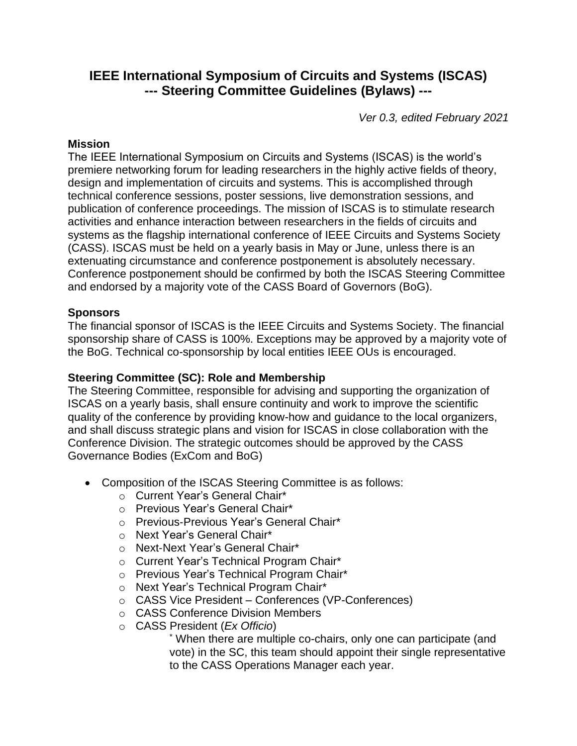# **IEEE International Symposium of Circuits and Systems (ISCAS) --- Steering Committee Guidelines (Bylaws) ---**

*Ver 0.3, edited February 2021*

#### **Mission**

The IEEE International Symposium on Circuits and Systems (ISCAS) is the world's premiere networking forum for leading researchers in the highly active fields of theory, design and implementation of circuits and systems. This is accomplished through technical conference sessions, poster sessions, live demonstration sessions, and publication of conference proceedings. The mission of ISCAS is to stimulate research activities and enhance interaction between researchers in the fields of circuits and systems as the flagship international conference of IEEE Circuits and Systems Society (CASS). ISCAS must be held on a yearly basis in May or June, unless there is an extenuating circumstance and conference postponement is absolutely necessary. Conference postponement should be confirmed by both the ISCAS Steering Committee and endorsed by a majority vote of the CASS Board of Governors (BoG).

#### **Sponsors**

The financial sponsor of ISCAS is the IEEE Circuits and Systems Society. The financial sponsorship share of CASS is 100%. Exceptions may be approved by a majority vote of the BoG. Technical co-sponsorship by local entities IEEE OUs is encouraged.

# **Steering Committee (SC): Role and Membership**

The Steering Committee, responsible for advising and supporting the organization of ISCAS on a yearly basis, shall ensure continuity and work to improve the scientific quality of the conference by providing know-how and guidance to the local organizers, and shall discuss strategic plans and vision for ISCAS in close collaboration with the Conference Division. The strategic outcomes should be approved by the CASS Governance Bodies (ExCom and BoG)

- Composition of the ISCAS Steering Committee is as follows:
	- o Current Year's General Chair\*
	- o Previous Year's General Chair\*
	- o Previous‐Previous Year's General Chair\*
	- o Next Year's General Chair\*
	- o Next‐Next Year's General Chair\*
	- o Current Year's Technical Program Chair\*
	- o Previous Year's Technical Program Chair\*
	- o Next Year's Technical Program Chair\*
	- o CASS Vice President Conferences (VP-Conferences)
	- o CASS Conference Division Members
	- o CASS President (*Ex Officio*)

\* When there are multiple co-chairs, only one can participate (and vote) in the SC, this team should appoint their single representative to the CASS Operations Manager each year.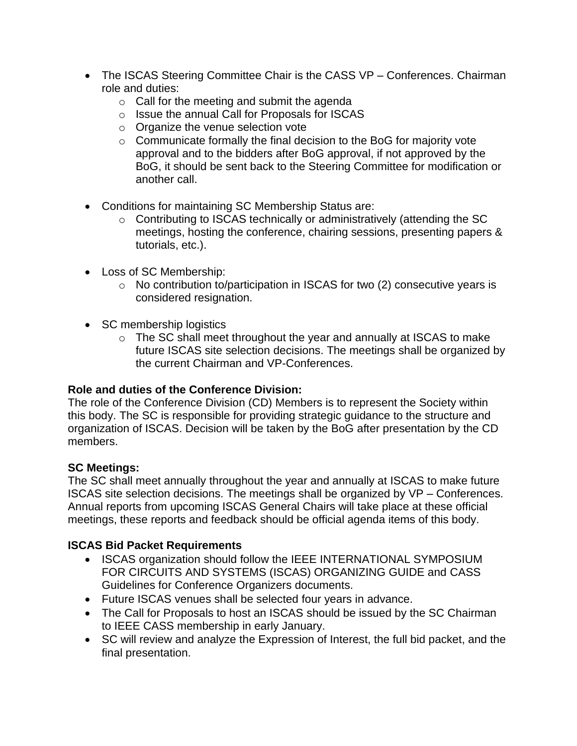- The ISCAS Steering Committee Chair is the CASS VP Conferences. Chairman role and duties:
	- $\circ$  Call for the meeting and submit the agenda
	- o Issue the annual Call for Proposals for ISCAS
	- o Organize the venue selection vote
	- o Communicate formally the final decision to the BoG for majority vote approval and to the bidders after BoG approval, if not approved by the BoG, it should be sent back to the Steering Committee for modification or another call.
- Conditions for maintaining SC Membership Status are:
	- o Contributing to ISCAS technically or administratively (attending the SC meetings, hosting the conference, chairing sessions, presenting papers & tutorials, etc.).
- Loss of SC Membership:
	- o No contribution to/participation in ISCAS for two (2) consecutive years is considered resignation.
- SC membership logistics
	- $\circ$  The SC shall meet throughout the year and annually at ISCAS to make future ISCAS site selection decisions. The meetings shall be organized by the current Chairman and VP-Conferences.

# **Role and duties of the Conference Division:**

The role of the Conference Division (CD) Members is to represent the Society within this body. The SC is responsible for providing strategic guidance to the structure and organization of ISCAS. Decision will be taken by the BoG after presentation by the CD members.

# **SC Meetings:**

The SC shall meet annually throughout the year and annually at ISCAS to make future ISCAS site selection decisions. The meetings shall be organized by VP – Conferences. Annual reports from upcoming ISCAS General Chairs will take place at these official meetings, these reports and feedback should be official agenda items of this body.

# **ISCAS Bid Packet Requirements**

- ISCAS organization should follow the IEEE INTERNATIONAL SYMPOSIUM FOR CIRCUITS AND SYSTEMS (ISCAS) ORGANIZING GUIDE and CASS Guidelines for Conference Organizers documents.
- Future ISCAS venues shall be selected four years in advance.
- The Call for Proposals to host an ISCAS should be issued by the SC Chairman to IEEE CASS membership in early January.
- SC will review and analyze the Expression of Interest, the full bid packet, and the final presentation.